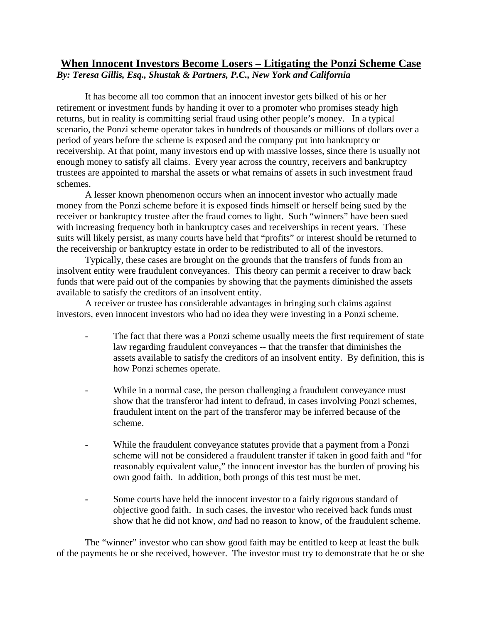## **When Innocent Investors Become Losers – Litigating the Ponzi Scheme Case** *By: Teresa Gillis, Esq., Shustak & Partners, P.C., New York and California*

 It has become all too common that an innocent investor gets bilked of his or her retirement or investment funds by handing it over to a promoter who promises steady high returns, but in reality is committing serial fraud using other people's money. In a typical scenario, the Ponzi scheme operator takes in hundreds of thousands or millions of dollars over a period of years before the scheme is exposed and the company put into bankruptcy or receivership. At that point, many investors end up with massive losses, since there is usually not enough money to satisfy all claims. Every year across the country, receivers and bankruptcy trustees are appointed to marshal the assets or what remains of assets in such investment fraud schemes.

 A lesser known phenomenon occurs when an innocent investor who actually made money from the Ponzi scheme before it is exposed finds himself or herself being sued by the receiver or bankruptcy trustee after the fraud comes to light. Such "winners" have been sued with increasing frequency both in bankruptcy cases and receiverships in recent years. These suits will likely persist, as many courts have held that "profits" or interest should be returned to the receivership or bankruptcy estate in order to be redistributed to all of the investors.

 Typically, these cases are brought on the grounds that the transfers of funds from an insolvent entity were fraudulent conveyances. This theory can permit a receiver to draw back funds that were paid out of the companies by showing that the payments diminished the assets available to satisfy the creditors of an insolvent entity.

 A receiver or trustee has considerable advantages in bringing such claims against investors, even innocent investors who had no idea they were investing in a Ponzi scheme.

- The fact that there was a Ponzi scheme usually meets the first requirement of state law regarding fraudulent conveyances -- that the transfer that diminishes the assets available to satisfy the creditors of an insolvent entity. By definition, this is how Ponzi schemes operate.
- While in a normal case, the person challenging a fraudulent conveyance must show that the transferor had intent to defraud, in cases involving Ponzi schemes, fraudulent intent on the part of the transferor may be inferred because of the scheme.
- While the fraudulent conveyance statutes provide that a payment from a Ponzi scheme will not be considered a fraudulent transfer if taken in good faith and "for reasonably equivalent value," the innocent investor has the burden of proving his own good faith. In addition, both prongs of this test must be met.
- **-** Some courts have held the innocent investor to a fairly rigorous standard of objective good faith. In such cases, the investor who received back funds must show that he did not know, *and* had no reason to know, of the fraudulent scheme.

 The "winner" investor who can show good faith may be entitled to keep at least the bulk of the payments he or she received, however. The investor must try to demonstrate that he or she